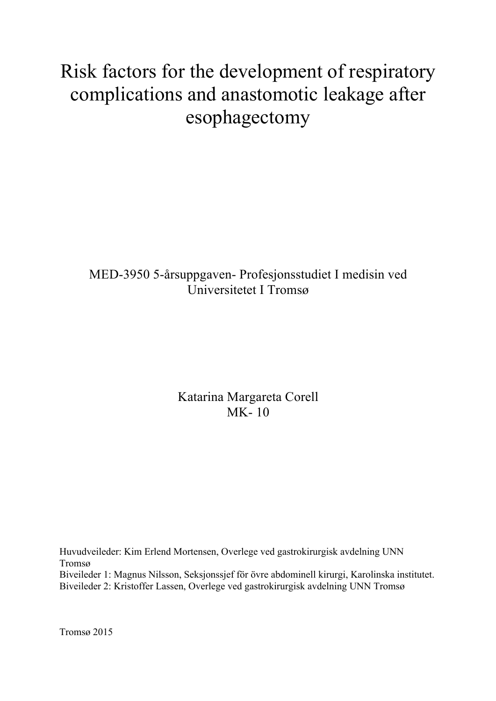# Risk factors for the development of respiratory complications and anastomotic leakage after esophagectomy

# MED-3950 5-årsuppgaven- Profesjonsstudiet I medisin ved Universitetet I Tromsø

Katarina Margareta Corell MK- 10

Huvudveileder: Kim Erlend Mortensen, Overlege ved gastrokirurgisk avdelning UNN Tromsø Biveileder 1: Magnus Nilsson, Seksjonssjef för övre abdominell kirurgi, Karolinska institutet. Biveileder 2: Kristoffer Lassen, Overlege ved gastrokirurgisk avdelning UNN Tromsø

Tromsø 2015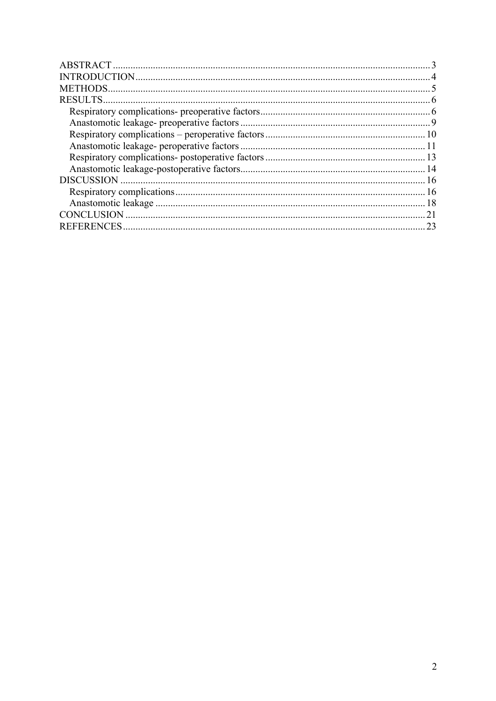| 21 |
|----|
| 23 |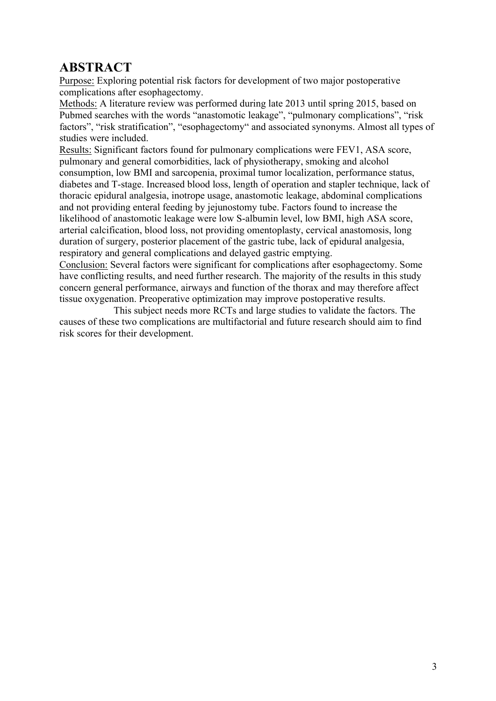# **ABSTRACT**

Purpose: Exploring potential risk factors for development of two major postoperative complications after esophagectomy.

Methods: A literature review was performed during late 2013 until spring 2015, based on Pubmed searches with the words "anastomotic leakage", "pulmonary complications", "risk factors", "risk stratification", "esophagectomy" and associated synonyms. Almost all types of studies were included.

Results: Significant factors found for pulmonary complications were FEV1, ASA score, pulmonary and general comorbidities, lack of physiotherapy, smoking and alcohol consumption, low BMI and sarcopenia, proximal tumor localization, performance status, diabetes and T-stage. Increased blood loss, length of operation and stapler technique, lack of thoracic epidural analgesia, inotrope usage, anastomotic leakage, abdominal complications and not providing enteral feeding by jejunostomy tube. Factors found to increase the likelihood of anastomotic leakage were low S-albumin level, low BMI, high ASA score, arterial calcification, blood loss, not providing omentoplasty, cervical anastomosis, long duration of surgery, posterior placement of the gastric tube, lack of epidural analgesia, respiratory and general complications and delayed gastric emptying.

Conclusion: Several factors were significant for complications after esophagectomy. Some have conflicting results, and need further research. The majority of the results in this study concern general performance, airways and function of the thorax and may therefore affect tissue oxygenation. Preoperative optimization may improve postoperative results.

This subject needs more RCTs and large studies to validate the factors. The causes of these two complications are multifactorial and future research should aim to find risk scores for their development.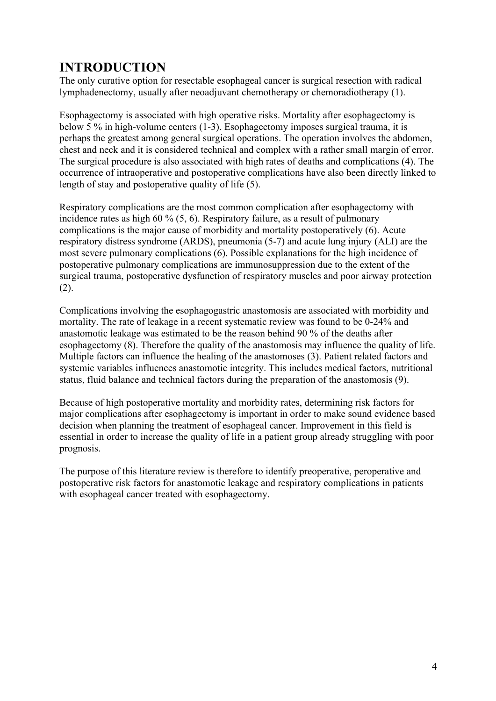# **INTRODUCTION**

The only curative option for resectable esophageal cancer is surgical resection with radical lymphadenectomy, usually after neoadjuvant chemotherapy or chemoradiotherapy (1).

Esophagectomy is associated with high operative risks. Mortality after esophagectomy is below 5 % in high-volume centers (1-3). Esophagectomy imposes surgical trauma, it is perhaps the greatest among general surgical operations. The operation involves the abdomen, chest and neck and it is considered technical and complex with a rather small margin of error. The surgical procedure is also associated with high rates of deaths and complications (4). The occurrence of intraoperative and postoperative complications have also been directly linked to length of stay and postoperative quality of life (5).

Respiratory complications are the most common complication after esophagectomy with incidence rates as high 60 % (5, 6). Respiratory failure, as a result of pulmonary complications is the major cause of morbidity and mortality postoperatively (6). Acute respiratory distress syndrome (ARDS), pneumonia (5-7) and acute lung injury (ALI) are the most severe pulmonary complications (6). Possible explanations for the high incidence of postoperative pulmonary complications are immunosuppression due to the extent of the surgical trauma, postoperative dysfunction of respiratory muscles and poor airway protection (2).

Complications involving the esophagogastric anastomosis are associated with morbidity and mortality. The rate of leakage in a recent systematic review was found to be 0-24% and anastomotic leakage was estimated to be the reason behind 90 % of the deaths after esophagectomy (8). Therefore the quality of the anastomosis may influence the quality of life. Multiple factors can influence the healing of the anastomoses (3). Patient related factors and systemic variables influences anastomotic integrity. This includes medical factors, nutritional status, fluid balance and technical factors during the preparation of the anastomosis (9).

Because of high postoperative mortality and morbidity rates, determining risk factors for major complications after esophagectomy is important in order to make sound evidence based decision when planning the treatment of esophageal cancer. Improvement in this field is essential in order to increase the quality of life in a patient group already struggling with poor prognosis.

The purpose of this literature review is therefore to identify preoperative, peroperative and postoperative risk factors for anastomotic leakage and respiratory complications in patients with esophageal cancer treated with esophagectomy.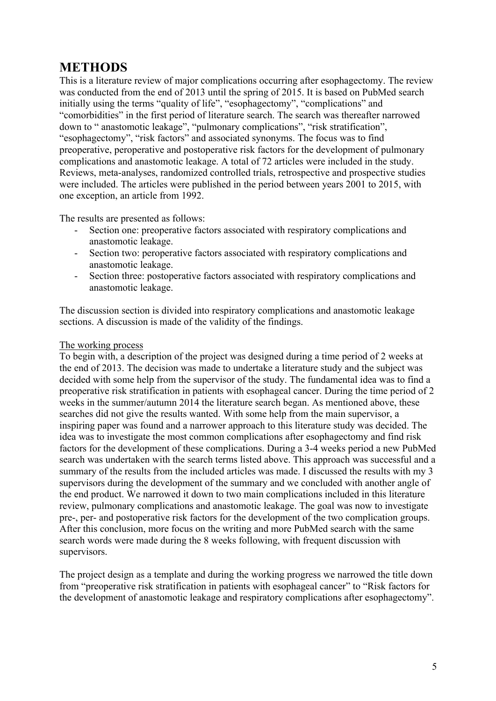### **METHODS**

This is a literature review of major complications occurring after esophagectomy. The review was conducted from the end of 2013 until the spring of 2015. It is based on PubMed search initially using the terms "quality of life", "esophagectomy", "complications" and "comorbidities" in the first period of literature search. The search was thereafter narrowed down to " anastomotic leakage", "pulmonary complications", "risk stratification", "esophagectomy", "risk factors" and associated synonyms. The focus was to find preoperative, peroperative and postoperative risk factors for the development of pulmonary complications and anastomotic leakage. A total of 72 articles were included in the study. Reviews, meta-analyses, randomized controlled trials, retrospective and prospective studies were included. The articles were published in the period between years 2001 to 2015, with one exception, an article from 1992.

The results are presented as follows:

- Section one: preoperative factors associated with respiratory complications and anastomotic leakage.
- Section two: peroperative factors associated with respiratory complications and anastomotic leakage.
- Section three: postoperative factors associated with respiratory complications and anastomotic leakage.

The discussion section is divided into respiratory complications and anastomotic leakage sections. A discussion is made of the validity of the findings.

#### The working process

To begin with, a description of the project was designed during a time period of 2 weeks at the end of 2013. The decision was made to undertake a literature study and the subject was decided with some help from the supervisor of the study. The fundamental idea was to find a preoperative risk stratification in patients with esophageal cancer. During the time period of 2 weeks in the summer/autumn 2014 the literature search began. As mentioned above, these searches did not give the results wanted. With some help from the main supervisor, a inspiring paper was found and a narrower approach to this literature study was decided. The idea was to investigate the most common complications after esophagectomy and find risk factors for the development of these complications. During a 3-4 weeks period a new PubMed search was undertaken with the search terms listed above. This approach was successful and a summary of the results from the included articles was made. I discussed the results with my 3 supervisors during the development of the summary and we concluded with another angle of the end product. We narrowed it down to two main complications included in this literature review, pulmonary complications and anastomotic leakage. The goal was now to investigate pre-, per- and postoperative risk factors for the development of the two complication groups. After this conclusion, more focus on the writing and more PubMed search with the same search words were made during the 8 weeks following, with frequent discussion with supervisors.

The project design as a template and during the working progress we narrowed the title down from "preoperative risk stratification in patients with esophageal cancer" to "Risk factors for the development of anastomotic leakage and respiratory complications after esophagectomy".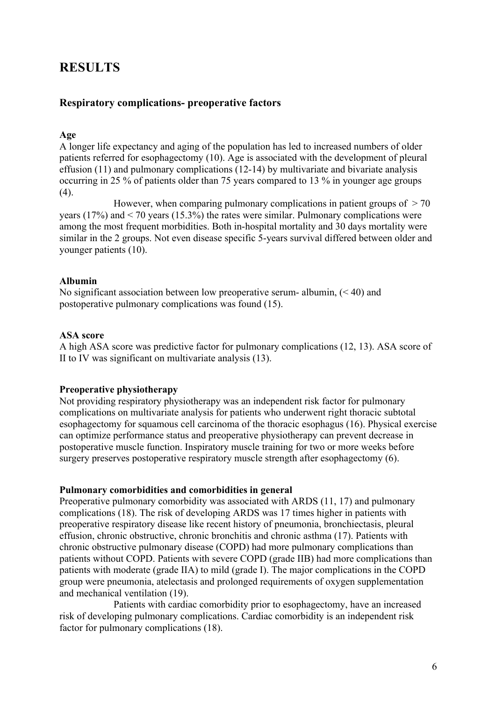### **RESULTS**

#### **Respiratory complications- preoperative factors**

#### **Age**

A longer life expectancy and aging of the population has led to increased numbers of older patients referred for esophagectomy (10). Age is associated with the development of pleural effusion (11) and pulmonary complications (12-14) by multivariate and bivariate analysis occurring in 25 % of patients older than 75 years compared to 13 % in younger age groups (4).

However, when comparing pulmonary complications in patient groups of  $> 70$ years (17%) and  $\leq$  70 years (15.3%) the rates were similar. Pulmonary complications were among the most frequent morbidities. Both in-hospital mortality and 30 days mortality were similar in the 2 groups. Not even disease specific 5-years survival differed between older and younger patients (10).

#### **Albumin**

No significant association between low preoperative serum- albumin,  $( $40$ ) and$ postoperative pulmonary complications was found (15).

#### **ASA score**

A high ASA score was predictive factor for pulmonary complications (12, 13). ASA score of II to IV was significant on multivariate analysis (13).

#### **Preoperative physiotherapy**

Not providing respiratory physiotherapy was an independent risk factor for pulmonary complications on multivariate analysis for patients who underwent right thoracic subtotal esophagectomy for squamous cell carcinoma of the thoracic esophagus (16). Physical exercise can optimize performance status and preoperative physiotherapy can prevent decrease in postoperative muscle function. Inspiratory muscle training for two or more weeks before surgery preserves postoperative respiratory muscle strength after esophagectomy (6).

#### **Pulmonary comorbidities and comorbidities in general**

Preoperative pulmonary comorbidity was associated with ARDS (11, 17) and pulmonary complications (18). The risk of developing ARDS was 17 times higher in patients with preoperative respiratory disease like recent history of pneumonia, bronchiectasis, pleural effusion, chronic obstructive, chronic bronchitis and chronic asthma (17). Patients with chronic obstructive pulmonary disease (COPD) had more pulmonary complications than patients without COPD. Patients with severe COPD (grade IIB) had more complications than patients with moderate (grade IIA) to mild (grade I). The major complications in the COPD group were pneumonia, atelectasis and prolonged requirements of oxygen supplementation and mechanical ventilation (19).

Patients with cardiac comorbidity prior to esophagectomy, have an increased risk of developing pulmonary complications. Cardiac comorbidity is an independent risk factor for pulmonary complications (18).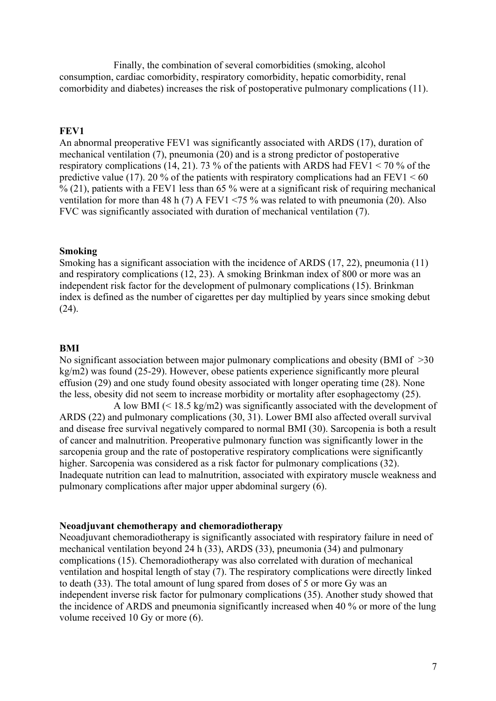Finally, the combination of several comorbidities (smoking, alcohol consumption, cardiac comorbidity, respiratory comorbidity, hepatic comorbidity, renal comorbidity and diabetes) increases the risk of postoperative pulmonary complications (11).

#### **FEV1**

An abnormal preoperative FEV1 was significantly associated with ARDS (17), duration of mechanical ventilation (7), pneumonia (20) and is a strong predictor of postoperative respiratory complications (14, 21). 73 % of the patients with ARDS had FEV1 < 70 % of the predictive value (17). 20 % of the patients with respiratory complications had an FEV1  $\leq 60$  $\%$  (21), patients with a FEV1 less than 65 % were at a significant risk of requiring mechanical ventilation for more than 48 h (7) A FEV1 <75 % was related to with pneumonia (20). Also FVC was significantly associated with duration of mechanical ventilation (7).

#### **Smoking**

Smoking has a significant association with the incidence of ARDS (17, 22), pneumonia (11) and respiratory complications (12, 23). A smoking Brinkman index of 800 or more was an independent risk factor for the development of pulmonary complications (15). Brinkman index is defined as the number of cigarettes per day multiplied by years since smoking debut (24).

#### **BMI**

No significant association between major pulmonary complications and obesity (BMI of  $>30$ ) kg/m2) was found (25-29). However, obese patients experience significantly more pleural effusion (29) and one study found obesity associated with longer operating time (28). None the less, obesity did not seem to increase morbidity or mortality after esophagectomy (25).

A low BMI  $(< 18.5 \text{ kg/m2})$  was significantly associated with the development of ARDS (22) and pulmonary complications (30, 31). Lower BMI also affected overall survival and disease free survival negatively compared to normal BMI (30). Sarcopenia is both a result of cancer and malnutrition. Preoperative pulmonary function was significantly lower in the sarcopenia group and the rate of postoperative respiratory complications were significantly higher. Sarcopenia was considered as a risk factor for pulmonary complications (32). Inadequate nutrition can lead to malnutrition, associated with expiratory muscle weakness and pulmonary complications after major upper abdominal surgery (6).

#### **Neoadjuvant chemotherapy and chemoradiotherapy**

Neoadjuvant chemoradiotherapy is significantly associated with respiratory failure in need of mechanical ventilation beyond 24 h (33), ARDS (33), pneumonia (34) and pulmonary complications (15). Chemoradiotherapy was also correlated with duration of mechanical ventilation and hospital length of stay (7). The respiratory complications were directly linked to death (33). The total amount of lung spared from doses of 5 or more Gy was an independent inverse risk factor for pulmonary complications (35). Another study showed that the incidence of ARDS and pneumonia significantly increased when 40 % or more of the lung volume received 10 Gy or more (6).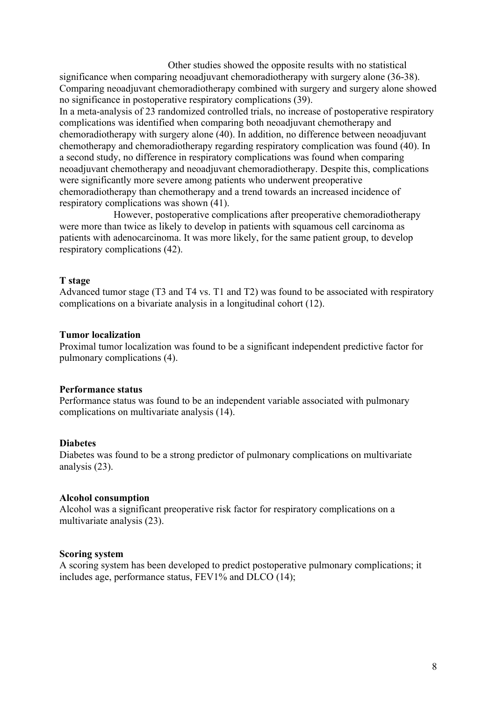Other studies showed the opposite results with no statistical

significance when comparing neoadjuvant chemoradiotherapy with surgery alone (36-38). Comparing neoadjuvant chemoradiotherapy combined with surgery and surgery alone showed no significance in postoperative respiratory complications (39).

In a meta-analysis of 23 randomized controlled trials, no increase of postoperative respiratory complications was identified when comparing both neoadjuvant chemotherapy and chemoradiotherapy with surgery alone (40). In addition, no difference between neoadjuvant chemotherapy and chemoradiotherapy regarding respiratory complication was found (40). In a second study, no difference in respiratory complications was found when comparing neoadjuvant chemotherapy and neoadjuvant chemoradiotherapy. Despite this, complications were significantly more severe among patients who underwent preoperative chemoradiotherapy than chemotherapy and a trend towards an increased incidence of respiratory complications was shown (41).

However, postoperative complications after preoperative chemoradiotherapy were more than twice as likely to develop in patients with squamous cell carcinoma as patients with adenocarcinoma. It was more likely, for the same patient group, to develop respiratory complications (42).

#### **T stage**

Advanced tumor stage (T3 and T4 vs. T1 and T2) was found to be associated with respiratory complications on a bivariate analysis in a longitudinal cohort (12).

#### **Tumor localization**

Proximal tumor localization was found to be a significant independent predictive factor for pulmonary complications (4).

#### **Performance status**

Performance status was found to be an independent variable associated with pulmonary complications on multivariate analysis (14).

#### **Diabetes**

Diabetes was found to be a strong predictor of pulmonary complications on multivariate analysis (23).

#### **Alcohol consumption**

Alcohol was a significant preoperative risk factor for respiratory complications on a multivariate analysis (23).

#### **Scoring system**

A scoring system has been developed to predict postoperative pulmonary complications; it includes age, performance status, FEV1% and DLCO (14);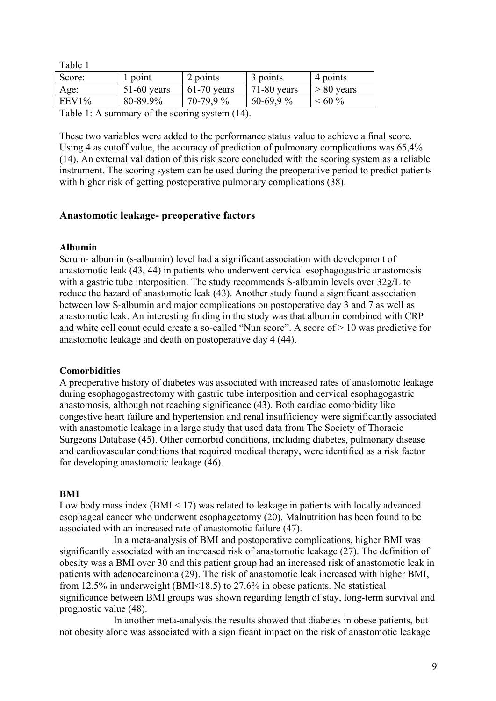| rabie i                                                   |               |               |               |              |  |  |
|-----------------------------------------------------------|---------------|---------------|---------------|--------------|--|--|
| Score:                                                    | 1 point       | 2 points      | 3 points      | 4 points     |  |  |
| Age:                                                      | $51-60$ years | $61-70$ years | $71-80$ years | $> 80$ years |  |  |
| FEV1%                                                     | 80-89.9%      | $70-79.9%$    | $60-69.9%$    | $~160\%$     |  |  |
| $T_{\alpha}$ ble 1: A gummary of the george gystem $(14)$ |               |               |               |              |  |  |

Table 1: A summary of the scoring system (14).

These two variables were added to the performance status value to achieve a final score. Using 4 as cutoff value, the accuracy of prediction of pulmonary complications was 65,4% (14). An external validation of this risk score concluded with the scoring system as a reliable instrument. The scoring system can be used during the preoperative period to predict patients with higher risk of getting postoperative pulmonary complications (38).

#### **Anastomotic leakage- preoperative factors**

#### **Albumin**

 $T = 11.4$ 

Serum- albumin (s-albumin) level had a significant association with development of anastomotic leak (43, 44) in patients who underwent cervical esophagogastric anastomosis with a gastric tube interposition. The study recommends S-albumin levels over  $32g/L$  to reduce the hazard of anastomotic leak (43). Another study found a significant association between low S-albumin and major complications on postoperative day 3 and 7 as well as anastomotic leak. An interesting finding in the study was that albumin combined with CRP and white cell count could create a so-called "Nun score". A score of > 10 was predictive for anastomotic leakage and death on postoperative day 4 (44).

#### **Comorbidities**

A preoperative history of diabetes was associated with increased rates of anastomotic leakage during esophagogastrectomy with gastric tube interposition and cervical esophagogastric anastomosis, although not reaching significance (43). Both cardiac comorbidity like congestive heart failure and hypertension and renal insufficiency were significantly associated with anastomotic leakage in a large study that used data from The Society of Thoracic Surgeons Database (45). Other comorbid conditions, including diabetes, pulmonary disease and cardiovascular conditions that required medical therapy, were identified as a risk factor for developing anastomotic leakage (46).

#### **BMI**

Low body mass index  $(BMI \leq 17)$  was related to leakage in patients with locally advanced esophageal cancer who underwent esophagectomy (20). Malnutrition has been found to be associated with an increased rate of anastomotic failure (47).

In a meta-analysis of BMI and postoperative complications, higher BMI was significantly associated with an increased risk of anastomotic leakage (27). The definition of obesity was a BMI over 30 and this patient group had an increased risk of anastomotic leak in patients with adenocarcinoma (29). The risk of anastomotic leak increased with higher BMI, from 12.5% in underweight (BMI<18.5) to 27.6% in obese patients. No statistical significance between BMI groups was shown regarding length of stay, long-term survival and prognostic value (48).

In another meta-analysis the results showed that diabetes in obese patients, but not obesity alone was associated with a significant impact on the risk of anastomotic leakage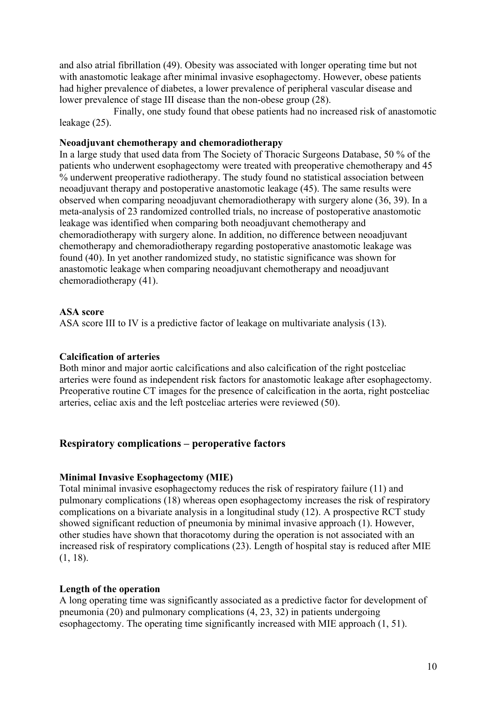and also atrial fibrillation (49). Obesity was associated with longer operating time but not with anastomotic leakage after minimal invasive esophagectomy. However, obese patients had higher prevalence of diabetes, a lower prevalence of peripheral vascular disease and lower prevalence of stage III disease than the non-obese group (28).

Finally, one study found that obese patients had no increased risk of anastomotic leakage (25).

#### **Neoadjuvant chemotherapy and chemoradiotherapy**

In a large study that used data from The Society of Thoracic Surgeons Database, 50 % of the patients who underwent esophagectomy were treated with preoperative chemotherapy and 45 % underwent preoperative radiotherapy. The study found no statistical association between neoadjuvant therapy and postoperative anastomotic leakage (45). The same results were observed when comparing neoadjuvant chemoradiotherapy with surgery alone (36, 39). In a meta-analysis of 23 randomized controlled trials, no increase of postoperative anastomotic leakage was identified when comparing both neoadjuvant chemotherapy and chemoradiotherapy with surgery alone. In addition, no difference between neoadjuvant chemotherapy and chemoradiotherapy regarding postoperative anastomotic leakage was found (40). In yet another randomized study, no statistic significance was shown for anastomotic leakage when comparing neoadjuvant chemotherapy and neoadjuvant chemoradiotherapy (41).

#### **ASA score**

ASA score III to IV is a predictive factor of leakage on multivariate analysis (13).

#### **Calcification of arteries**

Both minor and major aortic calcifications and also calcification of the right postceliac arteries were found as independent risk factors for anastomotic leakage after esophagectomy. Preoperative routine CT images for the presence of calcification in the aorta, right postceliac arteries, celiac axis and the left postceliac arteries were reviewed (50).

#### **Respiratory complications – peroperative factors**

#### **Minimal Invasive Esophagectomy (MIE)**

Total minimal invasive esophagectomy reduces the risk of respiratory failure (11) and pulmonary complications (18) whereas open esophagectomy increases the risk of respiratory complications on a bivariate analysis in a longitudinal study (12). A prospective RCT study showed significant reduction of pneumonia by minimal invasive approach (1). However, other studies have shown that thoracotomy during the operation is not associated with an increased risk of respiratory complications (23). Length of hospital stay is reduced after MIE (1, 18).

#### **Length of the operation**

A long operating time was significantly associated as a predictive factor for development of pneumonia (20) and pulmonary complications (4, 23, 32) in patients undergoing esophagectomy. The operating time significantly increased with MIE approach (1, 51).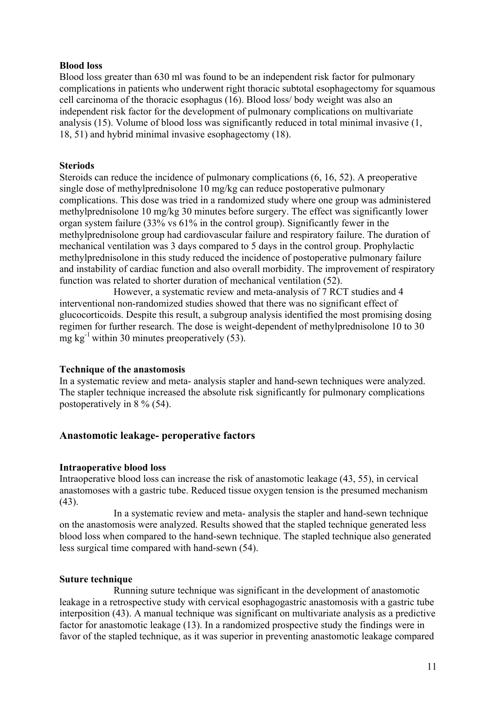#### **Blood loss**

Blood loss greater than 630 ml was found to be an independent risk factor for pulmonary complications in patients who underwent right thoracic subtotal esophagectomy for squamous cell carcinoma of the thoracic esophagus (16). Blood loss/ body weight was also an independent risk factor for the development of pulmonary complications on multivariate analysis (15). Volume of blood loss was significantly reduced in total minimal invasive (1, 18, 51) and hybrid minimal invasive esophagectomy (18).

#### **Steriods**

Steroids can reduce the incidence of pulmonary complications (6, 16, 52). A preoperative single dose of methylprednisolone 10 mg/kg can reduce postoperative pulmonary complications. This dose was tried in a randomized study where one group was administered methylprednisolone 10 mg/kg 30 minutes before surgery. The effect was significantly lower organ system failure (33% vs 61% in the control group). Significantly fewer in the methylprednisolone group had cardiovascular failure and respiratory failure. The duration of mechanical ventilation was 3 days compared to 5 days in the control group. Prophylactic methylprednisolone in this study reduced the incidence of postoperative pulmonary failure and instability of cardiac function and also overall morbidity. The improvement of respiratory function was related to shorter duration of mechanical ventilation (52).

However, a systematic review and meta-analysis of 7 RCT studies and 4 interventional non-randomized studies showed that there was no significant effect of glucocorticoids. Despite this result, a subgroup analysis identified the most promising dosing regimen for further research. The dose is weight-dependent of methylprednisolone 10 to 30 mg kg<sup>-1</sup> within 30 minutes preoperatively  $(53)$ .

#### **Technique of the anastomosis**

In a systematic review and meta- analysis stapler and hand-sewn techniques were analyzed. The stapler technique increased the absolute risk significantly for pulmonary complications postoperatively in 8 % (54).

#### **Anastomotic leakage- peroperative factors**

#### **Intraoperative blood loss**

Intraoperative blood loss can increase the risk of anastomotic leakage (43, 55), in cervical anastomoses with a gastric tube. Reduced tissue oxygen tension is the presumed mechanism  $(43)$ .

In a systematic review and meta- analysis the stapler and hand-sewn technique on the anastomosis were analyzed. Results showed that the stapled technique generated less blood loss when compared to the hand-sewn technique. The stapled technique also generated less surgical time compared with hand-sewn (54).

#### **Suture technique**

Running suture technique was significant in the development of anastomotic leakage in a retrospective study with cervical esophagogastric anastomosis with a gastric tube interposition (43). A manual technique was significant on multivariate analysis as a predictive factor for anastomotic leakage (13). In a randomized prospective study the findings were in favor of the stapled technique, as it was superior in preventing anastomotic leakage compared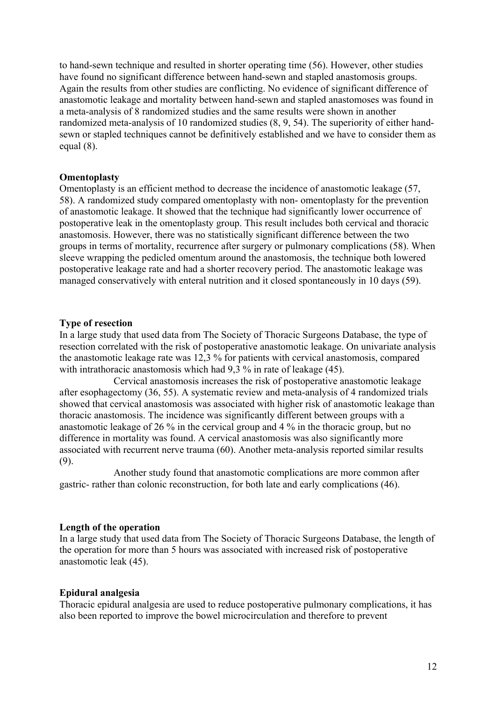to hand-sewn technique and resulted in shorter operating time (56). However, other studies have found no significant difference between hand-sewn and stapled anastomosis groups. Again the results from other studies are conflicting. No evidence of significant difference of anastomotic leakage and mortality between hand-sewn and stapled anastomoses was found in a meta-analysis of 8 randomized studies and the same results were shown in another randomized meta-analysis of 10 randomized studies (8, 9, 54). The superiority of either handsewn or stapled techniques cannot be definitively established and we have to consider them as equal (8).

#### **Omentoplasty**

Omentoplasty is an efficient method to decrease the incidence of anastomotic leakage (57, 58). A randomized study compared omentoplasty with non- omentoplasty for the prevention of anastomotic leakage. It showed that the technique had significantly lower occurrence of postoperative leak in the omentoplasty group. This result includes both cervical and thoracic anastomosis. However, there was no statistically significant difference between the two groups in terms of mortality, recurrence after surgery or pulmonary complications (58). When sleeve wrapping the pedicled omentum around the anastomosis, the technique both lowered postoperative leakage rate and had a shorter recovery period. The anastomotic leakage was managed conservatively with enteral nutrition and it closed spontaneously in 10 days (59).

#### **Type of resection**

In a large study that used data from The Society of Thoracic Surgeons Database, the type of resection correlated with the risk of postoperative anastomotic leakage. On univariate analysis the anastomotic leakage rate was 12,3 % for patients with cervical anastomosis, compared with intrathoracic anastomosis which had 9,3 % in rate of leakage (45).

Cervical anastomosis increases the risk of postoperative anastomotic leakage after esophagectomy (36, 55). A systematic review and meta-analysis of 4 randomized trials showed that cervical anastomosis was associated with higher risk of anastomotic leakage than thoracic anastomosis. The incidence was significantly different between groups with a anastomotic leakage of 26 % in the cervical group and 4 % in the thoracic group, but no difference in mortality was found. A cervical anastomosis was also significantly more associated with recurrent nerve trauma (60). Another meta-analysis reported similar results (9).

Another study found that anastomotic complications are more common after gastric- rather than colonic reconstruction, for both late and early complications (46).

#### **Length of the operation**

In a large study that used data from The Society of Thoracic Surgeons Database, the length of the operation for more than 5 hours was associated with increased risk of postoperative anastomotic leak (45).

#### **Epidural analgesia**

Thoracic epidural analgesia are used to reduce postoperative pulmonary complications, it has also been reported to improve the bowel microcirculation and therefore to prevent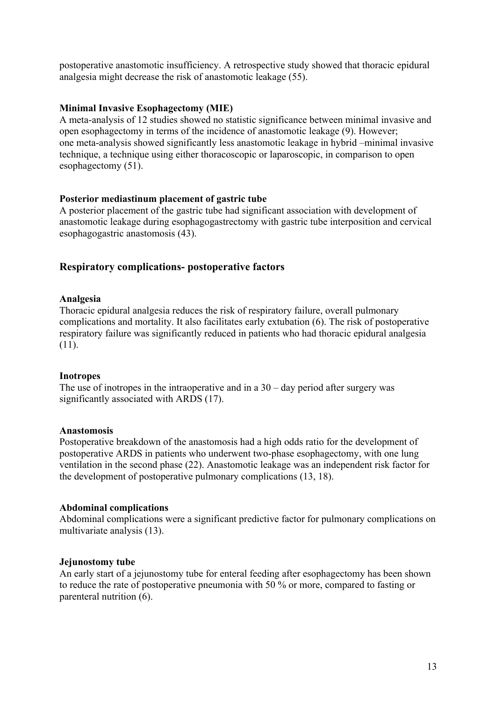postoperative anastomotic insufficiency. A retrospective study showed that thoracic epidural analgesia might decrease the risk of anastomotic leakage (55).

#### **Minimal Invasive Esophagectomy (MIE)**

A meta-analysis of 12 studies showed no statistic significance between minimal invasive and open esophagectomy in terms of the incidence of anastomotic leakage (9). However; one meta-analysis showed significantly less anastomotic leakage in hybrid –minimal invasive technique, a technique using either thoracoscopic or laparoscopic, in comparison to open esophagectomy (51).

#### **Posterior mediastinum placement of gastric tube**

A posterior placement of the gastric tube had significant association with development of anastomotic leakage during esophagogastrectomy with gastric tube interposition and cervical esophagogastric anastomosis (43).

#### **Respiratory complications- postoperative factors**

#### **Analgesia**

Thoracic epidural analgesia reduces the risk of respiratory failure, overall pulmonary complications and mortality. It also facilitates early extubation (6). The risk of postoperative respiratory failure was significantly reduced in patients who had thoracic epidural analgesia (11).

#### **Inotropes**

The use of inotropes in the intraoperative and in a  $30 -$  day period after surgery was significantly associated with ARDS (17).

#### **Anastomosis**

Postoperative breakdown of the anastomosis had a high odds ratio for the development of postoperative ARDS in patients who underwent two-phase esophagectomy, with one lung ventilation in the second phase (22). Anastomotic leakage was an independent risk factor for the development of postoperative pulmonary complications (13, 18).

#### **Abdominal complications**

Abdominal complications were a significant predictive factor for pulmonary complications on multivariate analysis (13).

#### **Jejunostomy tube**

An early start of a jejunostomy tube for enteral feeding after esophagectomy has been shown to reduce the rate of postoperative pneumonia with 50 % or more, compared to fasting or parenteral nutrition (6).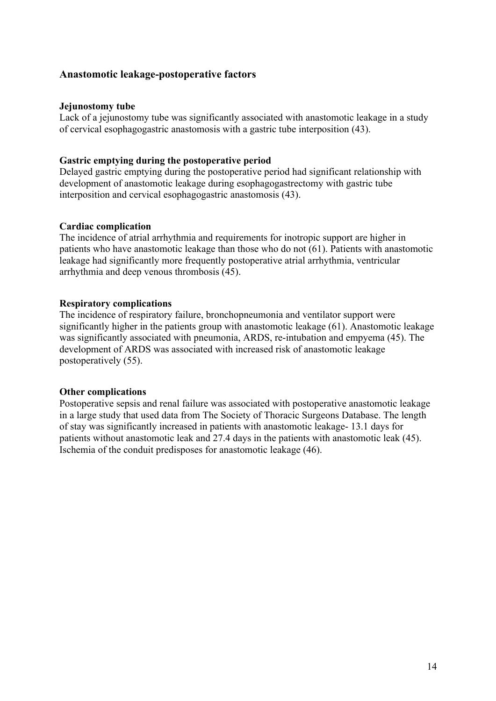#### **Anastomotic leakage-postoperative factors**

#### **Jejunostomy tube**

Lack of a jejunostomy tube was significantly associated with anastomotic leakage in a study of cervical esophagogastric anastomosis with a gastric tube interposition (43).

#### **Gastric emptying during the postoperative period**

Delayed gastric emptying during the postoperative period had significant relationship with development of anastomotic leakage during esophagogastrectomy with gastric tube interposition and cervical esophagogastric anastomosis (43).

#### **Cardiac complication**

The incidence of atrial arrhythmia and requirements for inotropic support are higher in patients who have anastomotic leakage than those who do not (61). Patients with anastomotic leakage had significantly more frequently postoperative atrial arrhythmia, ventricular arrhythmia and deep venous thrombosis (45).

#### **Respiratory complications**

The incidence of respiratory failure, bronchopneumonia and ventilator support were significantly higher in the patients group with anastomotic leakage (61). Anastomotic leakage was significantly associated with pneumonia, ARDS, re-intubation and empyema (45). The development of ARDS was associated with increased risk of anastomotic leakage postoperatively (55).

#### **Other complications**

Postoperative sepsis and renal failure was associated with postoperative anastomotic leakage in a large study that used data from The Society of Thoracic Surgeons Database. The length of stay was significantly increased in patients with anastomotic leakage- 13.1 days for patients without anastomotic leak and 27.4 days in the patients with anastomotic leak (45). Ischemia of the conduit predisposes for anastomotic leakage (46).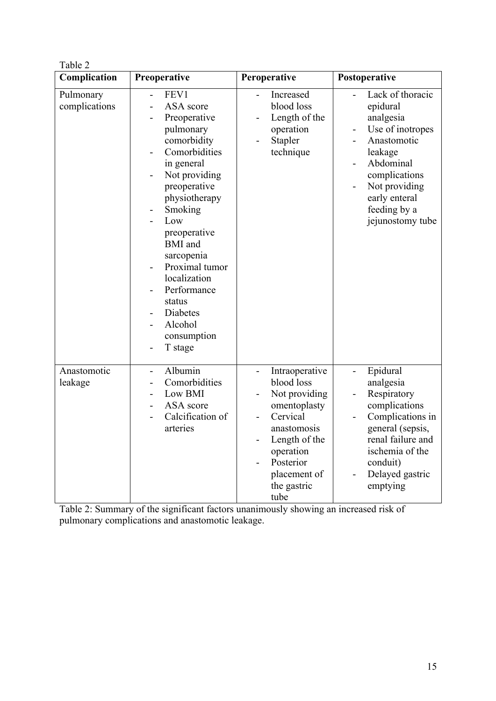| ın |  |
|----|--|
|    |  |

| Complication               | Preoperative                                                                                                                                                                                                                                                                                                                                   | Peroperative                                                                                                                                                                                           | Postoperative                                                                                                                                                                                                 |
|----------------------------|------------------------------------------------------------------------------------------------------------------------------------------------------------------------------------------------------------------------------------------------------------------------------------------------------------------------------------------------|--------------------------------------------------------------------------------------------------------------------------------------------------------------------------------------------------------|---------------------------------------------------------------------------------------------------------------------------------------------------------------------------------------------------------------|
| Pulmonary<br>complications | FEV1<br>$\overline{a}$<br>ASA score<br>Preoperative<br>pulmonary<br>comorbidity<br>Comorbidities<br>in general<br>Not providing<br>preoperative<br>physiotherapy<br>Smoking<br>Low<br>preoperative<br><b>BMI</b> and<br>sarcopenia<br>Proximal tumor<br>localization<br>Performance<br>status<br>Diabetes<br>Alcohol<br>consumption<br>T stage | Increased<br>$\overline{a}$<br>blood loss<br>Length of the<br>-<br>operation<br>Stapler<br>-<br>technique                                                                                              | Lack of thoracic<br>$\overline{a}$<br>epidural<br>analgesia<br>Use of inotropes<br>Anastomotic<br>leakage<br>Abdominal<br>complications<br>Not providing<br>early enteral<br>feeding by a<br>jejunostomy tube |
| Anastomotic<br>leakage     | Albumin<br>$\overline{\phantom{0}}$<br>Comorbidities<br>Low BMI<br>ASA score<br>Calcification of<br>arteries                                                                                                                                                                                                                                   | Intraoperative<br>$\overline{\phantom{0}}$<br>blood loss<br>Not providing<br>omentoplasty<br>Cervical<br>anastomosis<br>Length of the<br>operation<br>Posterior<br>placement of<br>the gastric<br>tube | Epidural<br>$\overline{\phantom{a}}$<br>analgesia<br>Respiratory<br>complications<br>Complications in<br>general (sepsis,<br>renal failure and<br>ischemia of the<br>conduit)<br>Delayed gastric<br>emptying  |

Table 2: Summary of the significant factors unanimously showing an increased risk of pulmonary complications and anastomotic leakage.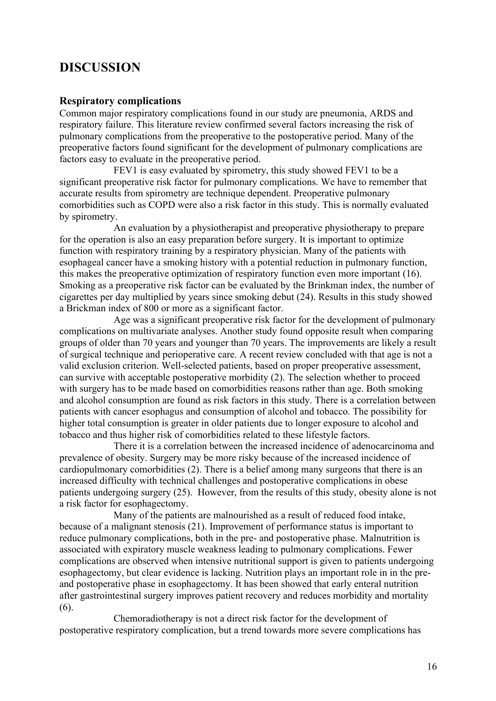### **DISCUSSION**

#### **Respiratory complications**

Common major respiratory complications found in our study are pneumonia, ARDS and respiratory failure. This literature review confirmed several factors increasing the risk of pulmonary complications from the preoperative to the postoperative period. Many of the preoperative factors found significant for the development of pulmonary complications are factors easy to evaluate in the preoperative period.

FEV1 is easy evaluated by spirometry, this study showed FEV1 to be a significant preoperative risk factor for pulmonary complications. We have to remember that accurate results from spirometry are technique dependent. Preoperative pulmonary comorbidities such as COPD were also a risk factor in this study. This is normally evaluated by spirometry.

An evaluation by a physiotherapist and preoperative physiotherapy to prepare for the operation is also an easy preparation before surgery. It is important to optimize function with respiratory training by a respiratory physician. Many of the patients with esophageal cancer have a smoking history with a potential reduction in pulmonary function, this makes the preoperative optimization of respiratory function even more important (16). Smoking as a preoperative risk factor can be evaluated by the Brinkman index, the number of cigarettes per day multiplied by years since smoking debut (24). Results in this study showed a Brickman index of 800 or more as a significant factor.

Age was a significant preoperative risk factor for the development of pulmonary complications on multivariate analyses. Another study found opposite result when comparing groups of older than 70 years and younger than 70 years. The improvements are likely a result of surgical technique and perioperative care. A recent review concluded with that age is not a valid exclusion criterion. Well-selected patients, based on proper preoperative assessment, can survive with acceptable postoperative morbidity (2). The selection whether to proceed with surgery has to be made based on comorbidities reasons rather than age. Both smoking and alcohol consumption are found as risk factors in this study. There is a correlation between patients with cancer esophagus and consumption of alcohol and tobacco. The possibility for higher total consumption is greater in older patients due to longer exposure to alcohol and tobacco and thus higher risk of comorbidities related to these lifestyle factors.

There it is a correlation between the increased incidence of adenocarcinoma and prevalence of obesity. Surgery may be more risky because of the increased incidence of cardiopulmonary comorbidities (2). There is a belief among many surgeons that there is an increased difficulty with technical challenges and postoperative complications in obese patients undergoing surgery (25). However, from the results of this study, obesity alone is not a risk factor for esophagectomy.

Many of the patients are malnourished as a result of reduced food intake, because of a malignant stenosis (21). Improvement of performance status is important to reduce pulmonary complications, both in the pre- and postoperative phase. Malnutrition is associated with expiratory muscle weakness leading to pulmonary complications. Fewer complications are observed when intensive nutritional support is given to patients undergoing esophagectomy, but clear evidence is lacking. Nutrition plays an important role in in the preand postoperative phase in esophagectomy. It has been showed that early enteral nutrition after gastrointestinal surgery improves patient recovery and reduces morbidity and mortality (6).

Chemoradiotherapy is not a direct risk factor for the development of postoperative respiratory complication, but a trend towards more severe complications has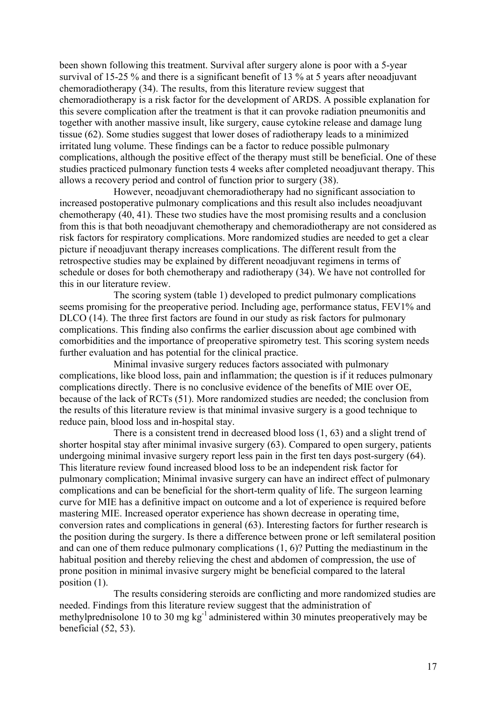been shown following this treatment. Survival after surgery alone is poor with a 5-year survival of 15-25 % and there is a significant benefit of 13 % at 5 years after neoadjuvant chemoradiotherapy (34). The results, from this literature review suggest that chemoradiotherapy is a risk factor for the development of ARDS. A possible explanation for this severe complication after the treatment is that it can provoke radiation pneumonitis and together with another massive insult, like surgery, cause cytokine release and damage lung tissue (62). Some studies suggest that lower doses of radiotherapy leads to a minimized irritated lung volume. These findings can be a factor to reduce possible pulmonary complications, although the positive effect of the therapy must still be beneficial. One of these studies practiced pulmonary function tests 4 weeks after completed neoadjuvant therapy. This allows a recovery period and control of function prior to surgery (38).

However, neoadjuvant chemoradiotherapy had no significant association to increased postoperative pulmonary complications and this result also includes neoadjuvant chemotherapy (40, 41). These two studies have the most promising results and a conclusion from this is that both neoadjuvant chemotherapy and chemoradiotherapy are not considered as risk factors for respiratory complications. More randomized studies are needed to get a clear picture if neoadjuvant therapy increases complications. The different result from the retrospective studies may be explained by different neoadjuvant regimens in terms of schedule or doses for both chemotherapy and radiotherapy (34). We have not controlled for this in our literature review.

The scoring system (table 1) developed to predict pulmonary complications seems promising for the preoperative period. Including age, performance status, FEV1% and DLCO (14). The three first factors are found in our study as risk factors for pulmonary complications. This finding also confirms the earlier discussion about age combined with comorbidities and the importance of preoperative spirometry test. This scoring system needs further evaluation and has potential for the clinical practice.

Minimal invasive surgery reduces factors associated with pulmonary complications, like blood loss, pain and inflammation; the question is if it reduces pulmonary complications directly. There is no conclusive evidence of the benefits of MIE over OE, because of the lack of RCTs (51). More randomized studies are needed; the conclusion from the results of this literature review is that minimal invasive surgery is a good technique to reduce pain, blood loss and in-hospital stay.

There is a consistent trend in decreased blood loss (1, 63) and a slight trend of shorter hospital stay after minimal invasive surgery (63). Compared to open surgery, patients undergoing minimal invasive surgery report less pain in the first ten days post-surgery (64). This literature review found increased blood loss to be an independent risk factor for pulmonary complication; Minimal invasive surgery can have an indirect effect of pulmonary complications and can be beneficial for the short-term quality of life. The surgeon learning curve for MIE has a definitive impact on outcome and a lot of experience is required before mastering MIE. Increased operator experience has shown decrease in operating time, conversion rates and complications in general (63). Interesting factors for further research is the position during the surgery. Is there a difference between prone or left semilateral position and can one of them reduce pulmonary complications (1, 6)? Putting the mediastinum in the habitual position and thereby relieving the chest and abdomen of compression, the use of prone position in minimal invasive surgery might be beneficial compared to the lateral position (1).

The results considering steroids are conflicting and more randomized studies are needed. Findings from this literature review suggest that the administration of methylprednisolone 10 to 30 mg kg<sup>-1</sup> administered within 30 minutes preoperatively may be beneficial (52, 53).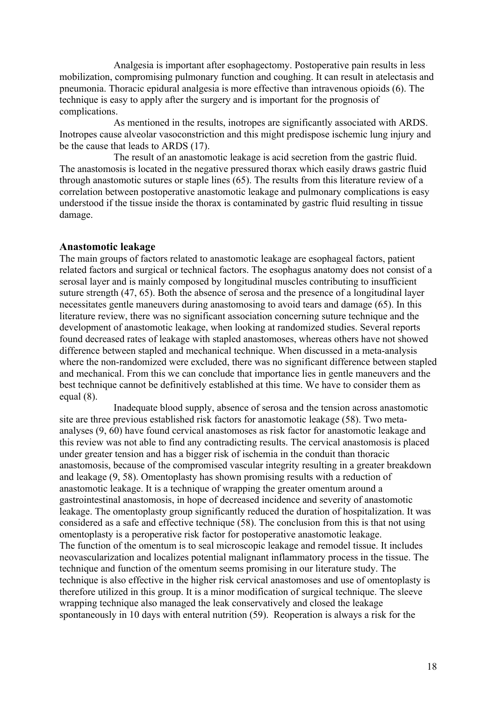Analgesia is important after esophagectomy. Postoperative pain results in less mobilization, compromising pulmonary function and coughing. It can result in atelectasis and pneumonia. Thoracic epidural analgesia is more effective than intravenous opioids (6). The technique is easy to apply after the surgery and is important for the prognosis of complications.

As mentioned in the results, inotropes are significantly associated with ARDS. Inotropes cause alveolar vasoconstriction and this might predispose ischemic lung injury and be the cause that leads to ARDS (17).

The result of an anastomotic leakage is acid secretion from the gastric fluid. The anastomosis is located in the negative pressured thorax which easily draws gastric fluid through anastomotic sutures or staple lines (65). The results from this literature review of a correlation between postoperative anastomotic leakage and pulmonary complications is easy understood if the tissue inside the thorax is contaminated by gastric fluid resulting in tissue damage.

#### **Anastomotic leakage**

The main groups of factors related to anastomotic leakage are esophageal factors, patient related factors and surgical or technical factors. The esophagus anatomy does not consist of a serosal layer and is mainly composed by longitudinal muscles contributing to insufficient suture strength (47, 65). Both the absence of serosa and the presence of a longitudinal layer necessitates gentle maneuvers during anastomosing to avoid tears and damage (65). In this literature review, there was no significant association concerning suture technique and the development of anastomotic leakage, when looking at randomized studies. Several reports found decreased rates of leakage with stapled anastomoses, whereas others have not showed difference between stapled and mechanical technique. When discussed in a meta-analysis where the non-randomized were excluded, there was no significant difference between stapled and mechanical. From this we can conclude that importance lies in gentle maneuvers and the best technique cannot be definitively established at this time. We have to consider them as equal  $(8)$ .

Inadequate blood supply, absence of serosa and the tension across anastomotic site are three previous established risk factors for anastomotic leakage (58). Two metaanalyses (9, 60) have found cervical anastomoses as risk factor for anastomotic leakage and this review was not able to find any contradicting results. The cervical anastomosis is placed under greater tension and has a bigger risk of ischemia in the conduit than thoracic anastomosis, because of the compromised vascular integrity resulting in a greater breakdown and leakage (9, 58). Omentoplasty has shown promising results with a reduction of anastomotic leakage. It is a technique of wrapping the greater omentum around a gastrointestinal anastomosis, in hope of decreased incidence and severity of anastomotic leakage. The omentoplasty group significantly reduced the duration of hospitalization. It was considered as a safe and effective technique (58). The conclusion from this is that not using omentoplasty is a peroperative risk factor for postoperative anastomotic leakage. The function of the omentum is to seal microscopic leakage and remodel tissue. It includes neovascularization and localizes potential malignant inflammatory process in the tissue. The technique and function of the omentum seems promising in our literature study. The technique is also effective in the higher risk cervical anastomoses and use of omentoplasty is therefore utilized in this group. It is a minor modification of surgical technique. The sleeve wrapping technique also managed the leak conservatively and closed the leakage spontaneously in 10 days with enteral nutrition (59). Reoperation is always a risk for the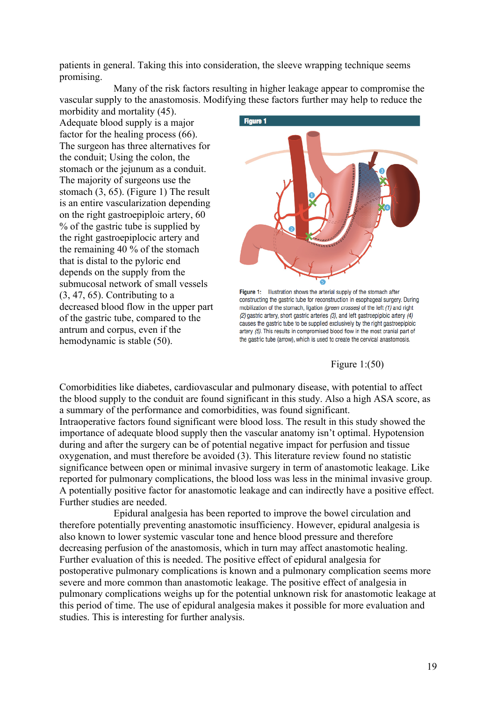patients in general. Taking this into consideration, the sleeve wrapping technique seems promising.

Many of the risk factors resulting in higher leakage appear to compromise the vascular supply to the anastomosis. Modifying these factors further may help to reduce the

morbidity and mortality (45). Adequate blood supply is a major factor for the healing process (66). The surgeon has three alternatives for the conduit; Using the colon, the stomach or the jejunum as a conduit. The majority of surgeons use the stomach (3, 65). (Figure 1) The result is an entire vascularization depending on the right gastroepiploic artery, 60 % of the gastric tube is supplied by the right gastroepiplocic artery and the remaining 40 % of the stomach that is distal to the pyloric end depends on the supply from the submucosal network of small vessels  $(3, 47, 65)$ . Contributing to a decreased blood flow in the upper part of the gastric tube, compared to the antrum and corpus, even if the hemodynamic is stable (50).



Figure 1: Illustration shows the arterial supply of the stomach after constructing the gastric tube for reconstruction in esophageal surgery. During mobilization of the stomach, ligation (green crosses) of the left (1) and right (2) gastric artery, short gastric arteries (3), and left gastroepiploic artery (4) causes the gastric tube to be supplied exclusively by the right gastroepiploic artery (5). This results in compromised blood flow in the most cranial part of the gastric tube (arrow), which is used to create the cervical anastomosis.

Figure 1:(50)

Comorbidities like diabetes, cardiovascular and pulmonary disease, with potential to affect the blood supply to the conduit are found significant in this study. Also a high ASA score, as a summary of the performance and comorbidities, was found significant. Intraoperative factors found significant were blood loss. The result in this study showed the importance of adequate blood supply then the vascular anatomy isn't optimal. Hypotension during and after the surgery can be of potential negative impact for perfusion and tissue oxygenation, and must therefore be avoided (3). This literature review found no statistic significance between open or minimal invasive surgery in term of anastomotic leakage. Like reported for pulmonary complications, the blood loss was less in the minimal invasive group. A potentially positive factor for anastomotic leakage and can indirectly have a positive effect. Further studies are needed.

Epidural analgesia has been reported to improve the bowel circulation and therefore potentially preventing anastomotic insufficiency. However, epidural analgesia is also known to lower systemic vascular tone and hence blood pressure and therefore decreasing perfusion of the anastomosis, which in turn may affect anastomotic healing. Further evaluation of this is needed. The positive effect of epidural analgesia for postoperative pulmonary complications is known and a pulmonary complication seems more severe and more common than anastomotic leakage. The positive effect of analgesia in pulmonary complications weighs up for the potential unknown risk for anastomotic leakage at this period of time. The use of epidural analgesia makes it possible for more evaluation and studies. This is interesting for further analysis.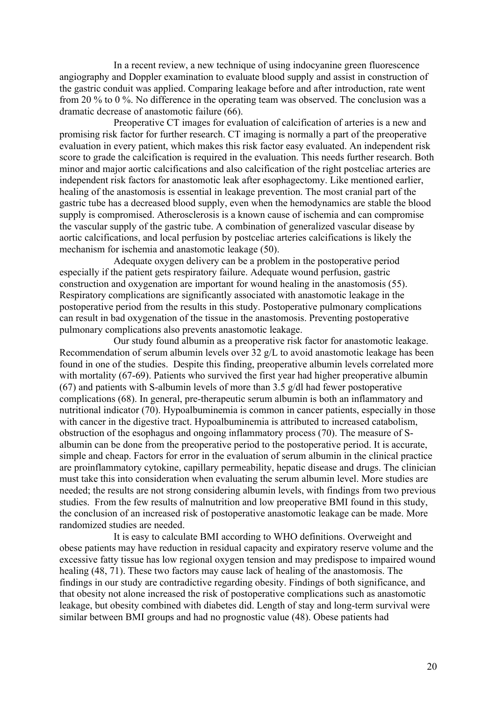In a recent review, a new technique of using indocyanine green fluorescence angiography and Doppler examination to evaluate blood supply and assist in construction of the gastric conduit was applied. Comparing leakage before and after introduction, rate went from 20 % to 0 %. No difference in the operating team was observed. The conclusion was a dramatic decrease of anastomotic failure (66).

Preoperative CT images for evaluation of calcification of arteries is a new and promising risk factor for further research. CT imaging is normally a part of the preoperative evaluation in every patient, which makes this risk factor easy evaluated. An independent risk score to grade the calcification is required in the evaluation. This needs further research. Both minor and major aortic calcifications and also calcification of the right postceliac arteries are independent risk factors for anastomotic leak after esophagectomy. Like mentioned earlier, healing of the anastomosis is essential in leakage prevention. The most cranial part of the gastric tube has a decreased blood supply, even when the hemodynamics are stable the blood supply is compromised. Atherosclerosis is a known cause of ischemia and can compromise the vascular supply of the gastric tube. A combination of generalized vascular disease by aortic calcifications, and local perfusion by postceliac arteries calcifications is likely the mechanism for ischemia and anastomotic leakage (50).

Adequate oxygen delivery can be a problem in the postoperative period especially if the patient gets respiratory failure. Adequate wound perfusion, gastric construction and oxygenation are important for wound healing in the anastomosis (55). Respiratory complications are significantly associated with anastomotic leakage in the postoperative period from the results in this study. Postoperative pulmonary complications can result in bad oxygenation of the tissue in the anastomosis. Preventing postoperative pulmonary complications also prevents anastomotic leakage.

Our study found albumin as a preoperative risk factor for anastomotic leakage. Recommendation of serum albumin levels over 32 g/L to avoid anastomotic leakage has been found in one of the studies. Despite this finding, preoperative albumin levels correlated more with mortality (67-69). Patients who survived the first year had higher preoperative albumin (67) and patients with S-albumin levels of more than 3.5 g/dl had fewer postoperative complications (68). In general, pre-therapeutic serum albumin is both an inflammatory and nutritional indicator (70). Hypoalbuminemia is common in cancer patients, especially in those with cancer in the digestive tract. Hypoalbuminemia is attributed to increased catabolism, obstruction of the esophagus and ongoing inflammatory process (70). The measure of Salbumin can be done from the preoperative period to the postoperative period. It is accurate, simple and cheap. Factors for error in the evaluation of serum albumin in the clinical practice are proinflammatory cytokine, capillary permeability, hepatic disease and drugs. The clinician must take this into consideration when evaluating the serum albumin level. More studies are needed; the results are not strong considering albumin levels, with findings from two previous studies. From the few results of malnutrition and low preoperative BMI found in this study, the conclusion of an increased risk of postoperative anastomotic leakage can be made. More randomized studies are needed.

It is easy to calculate BMI according to WHO definitions. Overweight and obese patients may have reduction in residual capacity and expiratory reserve volume and the excessive fatty tissue has low regional oxygen tension and may predispose to impaired wound healing (48, 71). These two factors may cause lack of healing of the anastomosis. The findings in our study are contradictive regarding obesity. Findings of both significance, and that obesity not alone increased the risk of postoperative complications such as anastomotic leakage, but obesity combined with diabetes did. Length of stay and long-term survival were similar between BMI groups and had no prognostic value (48). Obese patients had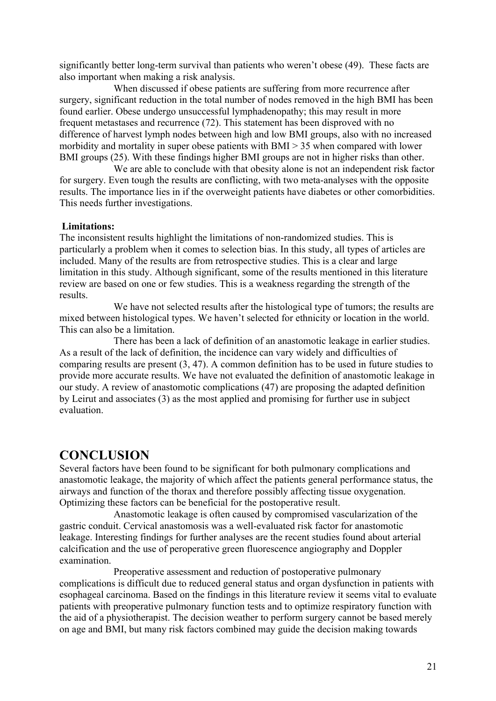significantly better long-term survival than patients who weren't obese (49). These facts are also important when making a risk analysis.

When discussed if obese patients are suffering from more recurrence after surgery, significant reduction in the total number of nodes removed in the high BMI has been found earlier. Obese undergo unsuccessful lymphadenopathy; this may result in more frequent metastases and recurrence (72). This statement has been disproved with no difference of harvest lymph nodes between high and low BMI groups, also with no increased morbidity and mortality in super obese patients with BMI > 35 when compared with lower BMI groups (25). With these findings higher BMI groups are not in higher risks than other.

We are able to conclude with that obesity alone is not an independent risk factor for surgery. Even tough the results are conflicting, with two meta-analyses with the opposite results. The importance lies in if the overweight patients have diabetes or other comorbidities. This needs further investigations.

#### **Limitations:**

The inconsistent results highlight the limitations of non-randomized studies. This is particularly a problem when it comes to selection bias. In this study, all types of articles are included. Many of the results are from retrospective studies. This is a clear and large limitation in this study. Although significant, some of the results mentioned in this literature review are based on one or few studies. This is a weakness regarding the strength of the results.

We have not selected results after the histological type of tumors; the results are mixed between histological types. We haven't selected for ethnicity or location in the world. This can also be a limitation.

There has been a lack of definition of an anastomotic leakage in earlier studies. As a result of the lack of definition, the incidence can vary widely and difficulties of comparing results are present (3, 47). A common definition has to be used in future studies to provide more accurate results. We have not evaluated the definition of anastomotic leakage in our study. A review of anastomotic complications (47) are proposing the adapted definition by Leirut and associates (3) as the most applied and promising for further use in subject evaluation.

### **CONCLUSION**

Several factors have been found to be significant for both pulmonary complications and anastomotic leakage, the majority of which affect the patients general performance status, the airways and function of the thorax and therefore possibly affecting tissue oxygenation. Optimizing these factors can be beneficial for the postoperative result.

Anastomotic leakage is often caused by compromised vascularization of the gastric conduit. Cervical anastomosis was a well-evaluated risk factor for anastomotic leakage. Interesting findings for further analyses are the recent studies found about arterial calcification and the use of peroperative green fluorescence angiography and Doppler examination.

Preoperative assessment and reduction of postoperative pulmonary complications is difficult due to reduced general status and organ dysfunction in patients with esophageal carcinoma. Based on the findings in this literature review it seems vital to evaluate patients with preoperative pulmonary function tests and to optimize respiratory function with the aid of a physiotherapist. The decision weather to perform surgery cannot be based merely on age and BMI, but many risk factors combined may guide the decision making towards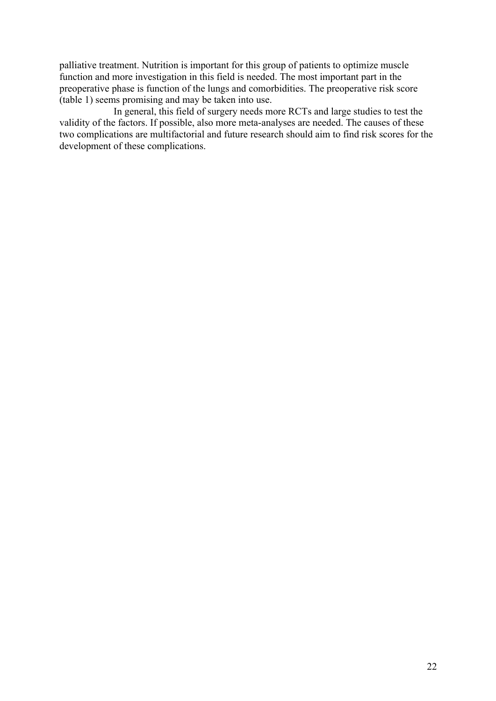palliative treatment. Nutrition is important for this group of patients to optimize muscle function and more investigation in this field is needed. The most important part in the preoperative phase is function of the lungs and comorbidities. The preoperative risk score (table 1) seems promising and may be taken into use.

In general, this field of surgery needs more RCTs and large studies to test the validity of the factors. If possible, also more meta-analyses are needed. The causes of these two complications are multifactorial and future research should aim to find risk scores for the development of these complications.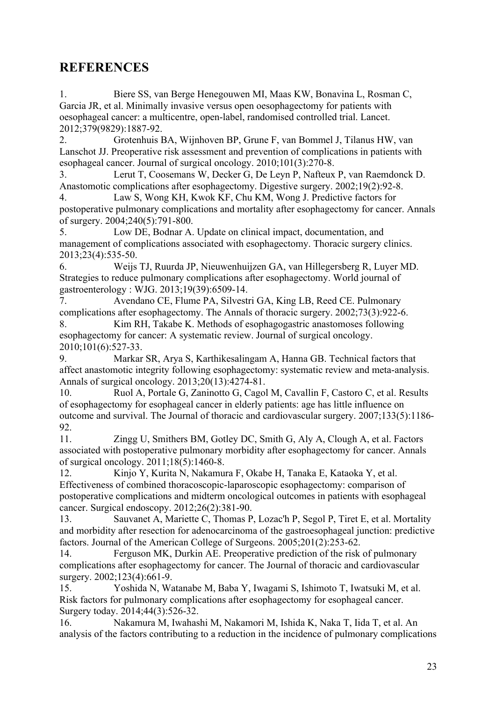### **REFERENCES**

1. Biere SS, van Berge Henegouwen MI, Maas KW, Bonavina L, Rosman C, Garcia JR, et al. Minimally invasive versus open oesophagectomy for patients with oesophageal cancer: a multicentre, open-label, randomised controlled trial. Lancet. 2012;379(9829):1887-92.

2. Grotenhuis BA, Wijnhoven BP, Grune F, van Bommel J, Tilanus HW, van Lanschot JJ. Preoperative risk assessment and prevention of complications in patients with esophageal cancer. Journal of surgical oncology. 2010;101(3):270-8.

3. Lerut T, Coosemans W, Decker G, De Leyn P, Nafteux P, van Raemdonck D. Anastomotic complications after esophagectomy. Digestive surgery. 2002;19(2):92-8.

4. Law S, Wong KH, Kwok KF, Chu KM, Wong J. Predictive factors for postoperative pulmonary complications and mortality after esophagectomy for cancer. Annals of surgery. 2004;240(5):791-800.

5. Low DE, Bodnar A. Update on clinical impact, documentation, and management of complications associated with esophagectomy. Thoracic surgery clinics. 2013;23(4):535-50.

6. Weijs TJ, Ruurda JP, Nieuwenhuijzen GA, van Hillegersberg R, Luyer MD. Strategies to reduce pulmonary complications after esophagectomy. World journal of gastroenterology : WJG. 2013;19(39):6509-14.

7. Avendano CE, Flume PA, Silvestri GA, King LB, Reed CE. Pulmonary complications after esophagectomy. The Annals of thoracic surgery. 2002;73(3):922-6. 8. Kim RH, Takabe K. Methods of esophagogastric anastomoses following

esophagectomy for cancer: A systematic review. Journal of surgical oncology. 2010;101(6):527-33.

9. Markar SR, Arya S, Karthikesalingam A, Hanna GB. Technical factors that affect anastomotic integrity following esophagectomy: systematic review and meta-analysis. Annals of surgical oncology. 2013;20(13):4274-81.

10. Ruol A, Portale G, Zaninotto G, Cagol M, Cavallin F, Castoro C, et al. Results of esophagectomy for esophageal cancer in elderly patients: age has little influence on outcome and survival. The Journal of thoracic and cardiovascular surgery. 2007;133(5):1186- 92.

11. Zingg U, Smithers BM, Gotley DC, Smith G, Aly A, Clough A, et al. Factors associated with postoperative pulmonary morbidity after esophagectomy for cancer. Annals of surgical oncology. 2011;18(5):1460-8.

12. Kinjo Y, Kurita N, Nakamura F, Okabe H, Tanaka E, Kataoka Y, et al. Effectiveness of combined thoracoscopic-laparoscopic esophagectomy: comparison of postoperative complications and midterm oncological outcomes in patients with esophageal cancer. Surgical endoscopy. 2012;26(2):381-90.

13. Sauvanet A, Mariette C, Thomas P, Lozac'h P, Segol P, Tiret E, et al. Mortality and morbidity after resection for adenocarcinoma of the gastroesophageal junction: predictive factors. Journal of the American College of Surgeons. 2005;201(2):253-62.

14. Ferguson MK, Durkin AE. Preoperative prediction of the risk of pulmonary complications after esophagectomy for cancer. The Journal of thoracic and cardiovascular surgery. 2002;123(4):661-9.

15. Yoshida N, Watanabe M, Baba Y, Iwagami S, Ishimoto T, Iwatsuki M, et al. Risk factors for pulmonary complications after esophagectomy for esophageal cancer. Surgery today. 2014;44(3):526-32.

16. Nakamura M, Iwahashi M, Nakamori M, Ishida K, Naka T, Iida T, et al. An analysis of the factors contributing to a reduction in the incidence of pulmonary complications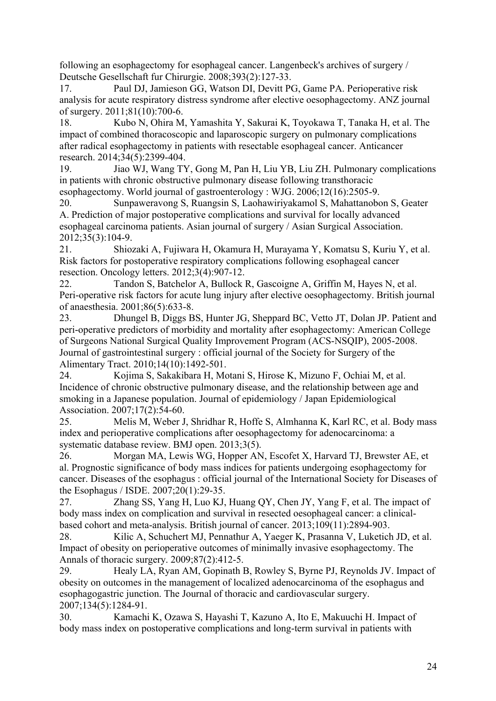following an esophagectomy for esophageal cancer. Langenbeck's archives of surgery / Deutsche Gesellschaft fur Chirurgie. 2008;393(2):127-33.

17. Paul DJ, Jamieson GG, Watson DI, Devitt PG, Game PA. Perioperative risk analysis for acute respiratory distress syndrome after elective oesophagectomy. ANZ journal of surgery. 2011;81(10):700-6.

18. Kubo N, Ohira M, Yamashita Y, Sakurai K, Toyokawa T, Tanaka H, et al. The impact of combined thoracoscopic and laparoscopic surgery on pulmonary complications after radical esophagectomy in patients with resectable esophageal cancer. Anticancer research. 2014;34(5):2399-404.

19. Jiao WJ, Wang TY, Gong M, Pan H, Liu YB, Liu ZH. Pulmonary complications in patients with chronic obstructive pulmonary disease following transthoracic esophagectomy. World journal of gastroenterology : WJG. 2006;12(16):2505-9.

20. Sunpaweravong S, Ruangsin S, Laohawiriyakamol S, Mahattanobon S, Geater A. Prediction of major postoperative complications and survival for locally advanced esophageal carcinoma patients. Asian journal of surgery / Asian Surgical Association. 2012;35(3):104-9.

21. Shiozaki A, Fujiwara H, Okamura H, Murayama Y, Komatsu S, Kuriu Y, et al. Risk factors for postoperative respiratory complications following esophageal cancer resection. Oncology letters. 2012;3(4):907-12.

22. Tandon S, Batchelor A, Bullock R, Gascoigne A, Griffin M, Hayes N, et al. Peri-operative risk factors for acute lung injury after elective oesophagectomy. British journal of anaesthesia. 2001;86(5):633-8.

23. Dhungel B, Diggs BS, Hunter JG, Sheppard BC, Vetto JT, Dolan JP. Patient and peri-operative predictors of morbidity and mortality after esophagectomy: American College of Surgeons National Surgical Quality Improvement Program (ACS-NSQIP), 2005-2008. Journal of gastrointestinal surgery : official journal of the Society for Surgery of the Alimentary Tract. 2010;14(10):1492-501.

24. Kojima S, Sakakibara H, Motani S, Hirose K, Mizuno F, Ochiai M, et al. Incidence of chronic obstructive pulmonary disease, and the relationship between age and smoking in a Japanese population. Journal of epidemiology / Japan Epidemiological Association. 2007;17(2):54-60.

25. Melis M, Weber J, Shridhar R, Hoffe S, Almhanna K, Karl RC, et al. Body mass index and perioperative complications after oesophagectomy for adenocarcinoma: a systematic database review. BMJ open. 2013;3(5).

26. Morgan MA, Lewis WG, Hopper AN, Escofet X, Harvard TJ, Brewster AE, et al. Prognostic significance of body mass indices for patients undergoing esophagectomy for cancer. Diseases of the esophagus : official journal of the International Society for Diseases of the Esophagus / ISDE. 2007;20(1):29-35.

27. Zhang SS, Yang H, Luo KJ, Huang QY, Chen JY, Yang F, et al. The impact of body mass index on complication and survival in resected oesophageal cancer: a clinicalbased cohort and meta-analysis. British journal of cancer. 2013;109(11):2894-903.

28. Kilic A, Schuchert MJ, Pennathur A, Yaeger K, Prasanna V, Luketich JD, et al. Impact of obesity on perioperative outcomes of minimally invasive esophagectomy. The Annals of thoracic surgery. 2009;87(2):412-5.

29. Healy LA, Ryan AM, Gopinath B, Rowley S, Byrne PJ, Reynolds JV. Impact of obesity on outcomes in the management of localized adenocarcinoma of the esophagus and esophagogastric junction. The Journal of thoracic and cardiovascular surgery. 2007;134(5):1284-91.

30. Kamachi K, Ozawa S, Hayashi T, Kazuno A, Ito E, Makuuchi H. Impact of body mass index on postoperative complications and long-term survival in patients with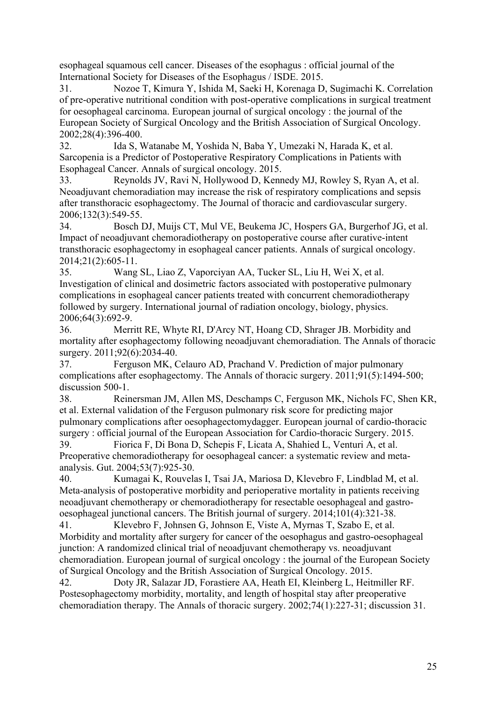esophageal squamous cell cancer. Diseases of the esophagus : official journal of the International Society for Diseases of the Esophagus / ISDE. 2015.

31. Nozoe T, Kimura Y, Ishida M, Saeki H, Korenaga D, Sugimachi K. Correlation of pre-operative nutritional condition with post-operative complications in surgical treatment for oesophageal carcinoma. European journal of surgical oncology : the journal of the European Society of Surgical Oncology and the British Association of Surgical Oncology. 2002;28(4):396-400.

32. Ida S, Watanabe M, Yoshida N, Baba Y, Umezaki N, Harada K, et al. Sarcopenia is a Predictor of Postoperative Respiratory Complications in Patients with Esophageal Cancer. Annals of surgical oncology. 2015.

33. Reynolds JV, Ravi N, Hollywood D, Kennedy MJ, Rowley S, Ryan A, et al. Neoadjuvant chemoradiation may increase the risk of respiratory complications and sepsis after transthoracic esophagectomy. The Journal of thoracic and cardiovascular surgery. 2006;132(3):549-55.

34. Bosch DJ, Muijs CT, Mul VE, Beukema JC, Hospers GA, Burgerhof JG, et al. Impact of neoadjuvant chemoradiotherapy on postoperative course after curative-intent transthoracic esophagectomy in esophageal cancer patients. Annals of surgical oncology. 2014;21(2):605-11.

35. Wang SL, Liao Z, Vaporciyan AA, Tucker SL, Liu H, Wei X, et al. Investigation of clinical and dosimetric factors associated with postoperative pulmonary complications in esophageal cancer patients treated with concurrent chemoradiotherapy followed by surgery. International journal of radiation oncology, biology, physics. 2006;64(3):692-9.

36. Merritt RE, Whyte RI, D'Arcy NT, Hoang CD, Shrager JB. Morbidity and mortality after esophagectomy following neoadjuvant chemoradiation. The Annals of thoracic surgery. 2011:92(6):2034-40.

37. Ferguson MK, Celauro AD, Prachand V. Prediction of major pulmonary complications after esophagectomy. The Annals of thoracic surgery. 2011;91(5):1494-500; discussion 500-1.

38. Reinersman JM, Allen MS, Deschamps C, Ferguson MK, Nichols FC, Shen KR, et al. External validation of the Ferguson pulmonary risk score for predicting major pulmonary complications after oesophagectomydagger. European journal of cardio-thoracic surgery : official journal of the European Association for Cardio-thoracic Surgery. 2015.

39. Fiorica F, Di Bona D, Schepis F, Licata A, Shahied L, Venturi A, et al. Preoperative chemoradiotherapy for oesophageal cancer: a systematic review and metaanalysis. Gut. 2004;53(7):925-30.

40. Kumagai K, Rouvelas I, Tsai JA, Mariosa D, Klevebro F, Lindblad M, et al. Meta-analysis of postoperative morbidity and perioperative mortality in patients receiving neoadjuvant chemotherapy or chemoradiotherapy for resectable oesophageal and gastrooesophageal junctional cancers. The British journal of surgery. 2014;101(4):321-38.

41. Klevebro F, Johnsen G, Johnson E, Viste A, Myrnas T, Szabo E, et al. Morbidity and mortality after surgery for cancer of the oesophagus and gastro-oesophageal junction: A randomized clinical trial of neoadjuvant chemotherapy vs. neoadjuvant chemoradiation. European journal of surgical oncology : the journal of the European Society of Surgical Oncology and the British Association of Surgical Oncology. 2015.

42. Doty JR, Salazar JD, Forastiere AA, Heath EI, Kleinberg L, Heitmiller RF. Postesophagectomy morbidity, mortality, and length of hospital stay after preoperative chemoradiation therapy. The Annals of thoracic surgery. 2002;74(1):227-31; discussion 31.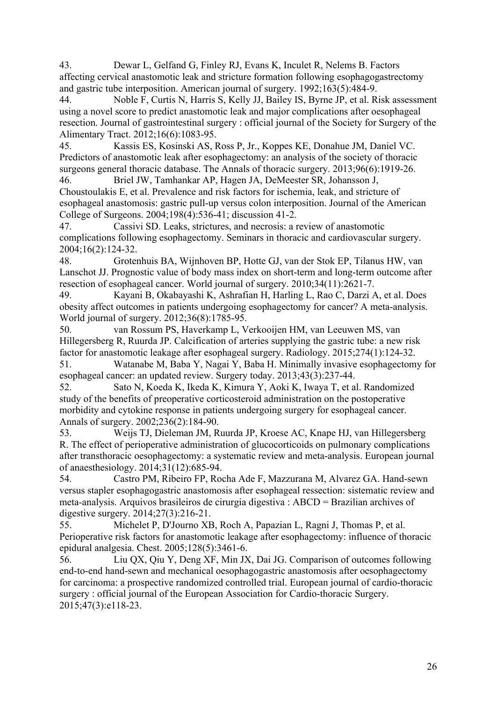43. Dewar L, Gelfand G, Finley RJ, Evans K, Inculet R, Nelems B. Factors affecting cervical anastomotic leak and stricture formation following esophagogastrectomy and gastric tube interposition. American journal of surgery. 1992;163(5):484-9.

44. Noble F, Curtis N, Harris S, Kelly JJ, Bailey IS, Byrne JP, et al. Risk assessment using a novel score to predict anastomotic leak and major complications after oesophageal resection. Journal of gastrointestinal surgery : official journal of the Society for Surgery of the Alimentary Tract. 2012;16(6):1083-95.

45. Kassis ES, Kosinski AS, Ross P, Jr., Koppes KE, Donahue JM, Daniel VC. Predictors of anastomotic leak after esophagectomy: an analysis of the society of thoracic surgeons general thoracic database. The Annals of thoracic surgery. 2013;96(6):1919-26.

46. Briel JW, Tamhankar AP, Hagen JA, DeMeester SR, Johansson J, Choustoulakis E, et al. Prevalence and risk factors for ischemia, leak, and stricture of esophageal anastomosis: gastric pull-up versus colon interposition. Journal of the American College of Surgeons. 2004;198(4):536-41; discussion 41-2.

47. Cassivi SD. Leaks, strictures, and necrosis: a review of anastomotic complications following esophagectomy. Seminars in thoracic and cardiovascular surgery. 2004;16(2):124-32.

48. Grotenhuis BA, Wijnhoven BP, Hotte GJ, van der Stok EP, Tilanus HW, van Lanschot JJ. Prognostic value of body mass index on short-term and long-term outcome after resection of esophageal cancer. World journal of surgery. 2010;34(11):2621-7.

49. Kayani B, Okabayashi K, Ashrafian H, Harling L, Rao C, Darzi A, et al. Does obesity affect outcomes in patients undergoing esophagectomy for cancer? A meta-analysis. World journal of surgery. 2012;36(8):1785-95.

50. van Rossum PS, Haverkamp L, Verkooijen HM, van Leeuwen MS, van Hillegersberg R, Ruurda JP. Calcification of arteries supplying the gastric tube: a new risk factor for anastomotic leakage after esophageal surgery. Radiology. 2015;274(1):124-32.

51. Watanabe M, Baba Y, Nagai Y, Baba H. Minimally invasive esophagectomy for esophageal cancer: an updated review. Surgery today. 2013;43(3):237-44.

52. Sato N, Koeda K, Ikeda K, Kimura Y, Aoki K, Iwaya T, et al. Randomized study of the benefits of preoperative corticosteroid administration on the postoperative morbidity and cytokine response in patients undergoing surgery for esophageal cancer. Annals of surgery. 2002;236(2):184-90.

53. Weijs TJ, Dieleman JM, Ruurda JP, Kroese AC, Knape HJ, van Hillegersberg R. The effect of perioperative administration of glucocorticoids on pulmonary complications after transthoracic oesophagectomy: a systematic review and meta-analysis. European journal of anaesthesiology. 2014;31(12):685-94.

54. Castro PM, Ribeiro FP, Rocha Ade F, Mazzurana M, Alvarez GA. Hand-sewn versus stapler esophagogastric anastomosis after esophageal ressection: sistematic review and meta-analysis. Arquivos brasileiros de cirurgia digestiva : ABCD = Brazilian archives of digestive surgery. 2014;27(3):216-21.

55. Michelet P, D'Journo XB, Roch A, Papazian L, Ragni J, Thomas P, et al. Perioperative risk factors for anastomotic leakage after esophagectomy: influence of thoracic epidural analgesia. Chest. 2005;128(5):3461-6.

56. Liu QX, Qiu Y, Deng XF, Min JX, Dai JG. Comparison of outcomes following end-to-end hand-sewn and mechanical oesophagogastric anastomosis after oesophagectomy for carcinoma: a prospective randomized controlled trial. European journal of cardio-thoracic surgery : official journal of the European Association for Cardio-thoracic Surgery. 2015;47(3):e118-23.